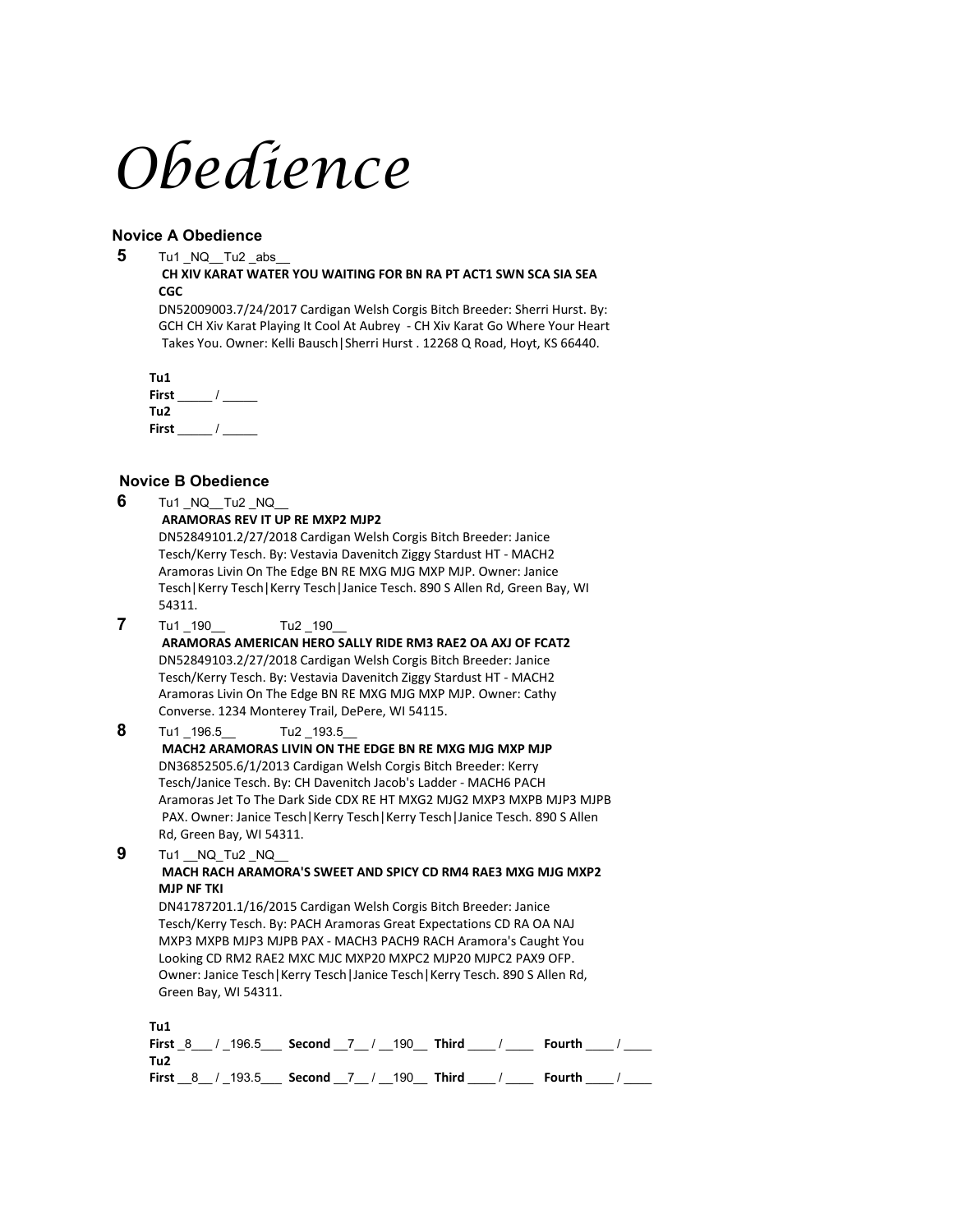# *Obedience*

#### **Novice A Obedience**

**5** Tu1 \_NQ\_\_Tu2 \_abs\_\_

#### **CH XIV KARAT WATER YOU WAITING FOR BN RA PT ACT1 SWN SCA SIA SEA CGC**

DN52009003.7/24/2017 Cardigan Welsh Corgis Bitch Breeder: Sherri Hurst. By: GCH CH Xiv Karat Playing It Cool At Aubrey - CH Xiv Karat Go Where Your Heart Takes You. Owner: Kelli Bausch|Sherri Hurst . 12268 Q Road, Hoyt, KS 66440.

**Tu1 First** \_\_\_\_\_ / \_\_\_\_\_ **Tu2 First** \_\_\_\_\_ / \_\_\_\_\_

# **Novice B Obedience**

|   | NOVICE B ODEGIENCE                                                                                                                                                                                                                                                                                                                                                                                                                                                                            |  |  |  |  |  |  |  |
|---|-----------------------------------------------------------------------------------------------------------------------------------------------------------------------------------------------------------------------------------------------------------------------------------------------------------------------------------------------------------------------------------------------------------------------------------------------------------------------------------------------|--|--|--|--|--|--|--|
| 6 | Tu1 NQ Tu2 NQ<br><b>ARAMORAS REV IT UP RE MXP2 MJP2</b><br>DN52849101.2/27/2018 Cardigan Welsh Corgis Bitch Breeder: Janice<br>Tesch/Kerry Tesch. By: Vestavia Davenitch Ziggy Stardust HT - MACH2<br>Aramoras Livin On The Edge BN RE MXG MJG MXP MJP. Owner: Janice<br>Tesch   Kerry Tesch   Kerry Tesch   Janice Tesch. 890 S Allen Rd, Green Bay, WI<br>54311.                                                                                                                            |  |  |  |  |  |  |  |
| 7 | Tu1_190<br>Tu2 190<br>ARAMORAS AMERICAN HERO SALLY RIDE RM3 RAE2 OA AXJ OF FCAT2<br>DN52849103.2/27/2018 Cardigan Welsh Corgis Bitch Breeder: Janice<br>Tesch/Kerry Tesch. By: Vestavia Davenitch Ziggy Stardust HT - MACH2<br>Aramoras Livin On The Edge BN RE MXG MJG MXP MJP. Owner: Cathy<br>Converse. 1234 Monterey Trail, DePere, WI 54115.                                                                                                                                             |  |  |  |  |  |  |  |
| 8 | Tu1 196.5<br>Tu2 193.5<br>MACH2 ARAMORAS LIVIN ON THE EDGE BN RE MXG MJG MXP MJP<br>DN36852505.6/1/2013 Cardigan Welsh Corgis Bitch Breeder: Kerry<br>Tesch/Janice Tesch. By: CH Davenitch Jacob's Ladder - MACH6 PACH<br>Aramoras Jet To The Dark Side CDX RE HT MXG2 MJG2 MXP3 MXPB MJP3 MJPB<br>PAX. Owner: Janice Tesch   Kerry Tesch   Kerry Tesch   Janice Tesch. 890 S Allen<br>Rd, Green Bay, WI 54311.                                                                               |  |  |  |  |  |  |  |
| 9 | Tu1 NQ Tu2 NQ<br>MACH RACH ARAMORA'S SWEET AND SPICY CD RM4 RAE3 MXG MJG MXP2<br><b>MJP NF TKI</b><br>DN41787201.1/16/2015 Cardigan Welsh Corgis Bitch Breeder: Janice<br>Tesch/Kerry Tesch. By: PACH Aramoras Great Expectations CD RA OA NAJ<br>MXP3 MXPB MJP3 MJPB PAX - MACH3 PACH9 RACH Aramora's Caught You<br>Looking CD RM2 RAE2 MXC MJC MXP20 MXPC2 MJP20 MJPC2 PAX9 OFP.<br>Owner: Janice Tesch   Kerry Tesch   Janice Tesch   Kerry Tesch. 890 S Allen Rd,<br>Green Bay, WI 54311. |  |  |  |  |  |  |  |
|   | T. . 1                                                                                                                                                                                                                                                                                                                                                                                                                                                                                        |  |  |  |  |  |  |  |

| . . u. |  | <b>First 8 / 196.5 Second 7 / 190 Third /</b>                                           |  |  | <b>Fourth</b> |  |
|--------|--|-----------------------------------------------------------------------------------------|--|--|---------------|--|
| Tu2    |  |                                                                                         |  |  |               |  |
|        |  | First $\_\ 8$ $\_\$ / $\_\$ 193.5 Second $\_\$ 7 $\_\$ / $\_\$ 190 Third $\_\$ / $\_\_$ |  |  | Fourth        |  |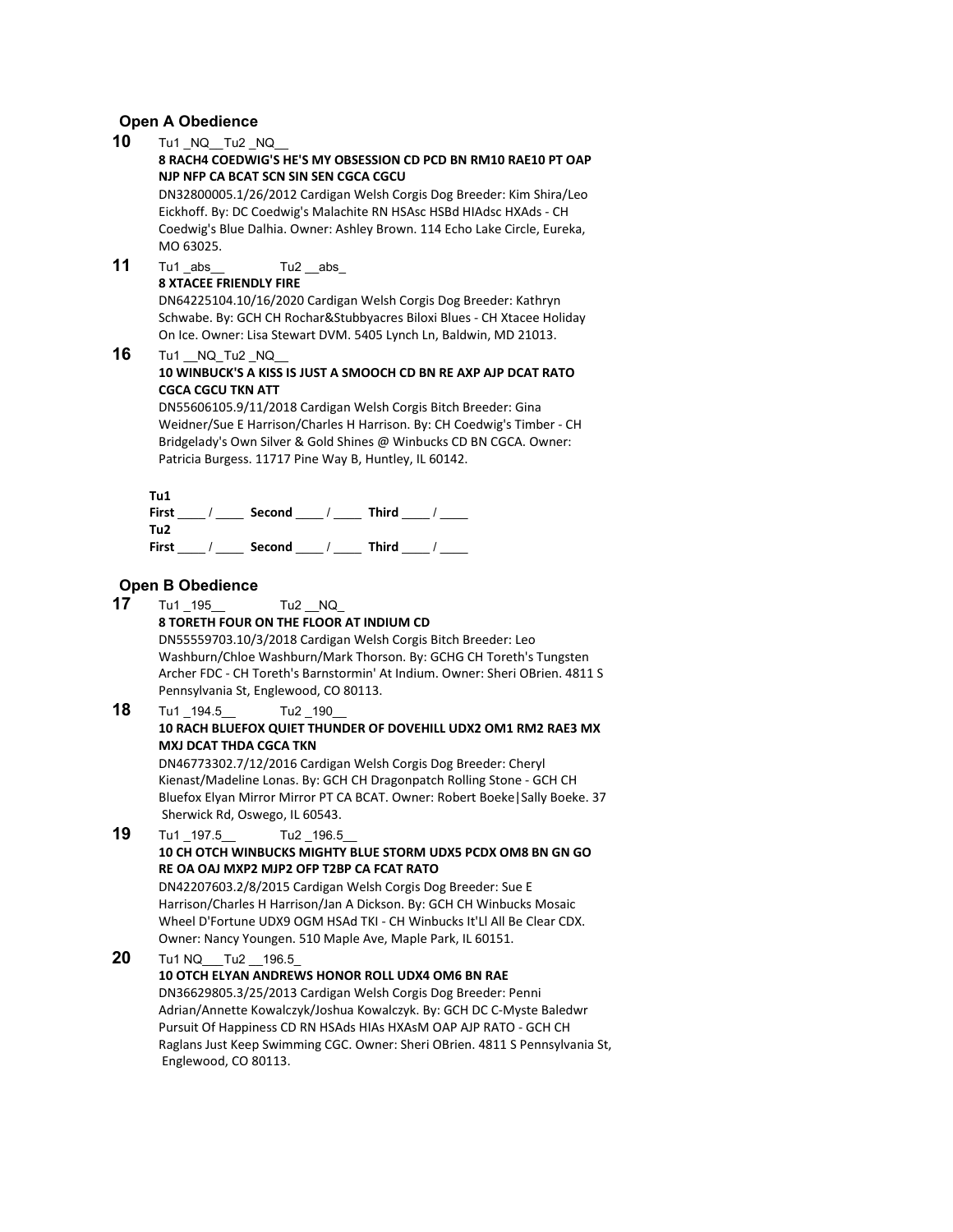#### **Open A Obedience**

**10** Tu1 NQ Tu2 NQ

#### **8 RACH4 COEDWIG'S HE'S MY OBSESSION CD PCD BN RM10 RAE10 PT OAP NJP NFP CA BCAT SCN SIN SEN CGCA CGCU**

DN32800005.1/26/2012 Cardigan Welsh Corgis Dog Breeder: Kim Shira/Leo Eickhoff. By: DC Coedwig's Malachite RN HSAsc HSBd HIAdsc HXAds - CH Coedwig's Blue Dalhia. Owner: Ashley Brown. 114 Echo Lake Circle, Eureka, MO 63025.

**11** Tu1 abs Tu2 abs

#### **8 XTACEE FRIENDLY FIRE**

DN64225104.10/16/2020 Cardigan Welsh Corgis Dog Breeder: Kathryn Schwabe. By: GCH CH Rochar&Stubbyacres Biloxi Blues - CH Xtacee Holiday On Ice. Owner: Lisa Stewart DVM. 5405 Lynch Ln, Baldwin, MD 21013.

#### **16** Tu1 NQ Tu2 NQ

#### **10 WINBUCK'S A KISS IS JUST A SMOOCH CD BN RE AXP AJP DCAT RATO CGCA CGCU TKN ATT**

DN55606105.9/11/2018 Cardigan Welsh Corgis Bitch Breeder: Gina Weidner/Sue E Harrison/Charles H Harrison. By: CH Coedwig's Timber - CH Bridgelady's Own Silver & Gold Shines @ Winbucks CD BN CGCA. Owner: Patricia Burgess. 11717 Pine Way B, Huntley, IL 60142.

#### **Tu1**

| First | Second | <b>Third</b> |
|-------|--------|--------------|
| Tu2   |        |              |
| First | Second | <b>Third</b> |

#### **Open B Obedience**

**17** Tu1 195 Tu2 NQ **8 TORETH FOUR ON THE FLOOR AT INDIUM CD** DN55559703.10/3/2018 Cardigan Welsh Corgis Bitch Breeder: Leo Washburn/Chloe Washburn/Mark Thorson. By: GCHG CH Toreth's Tungsten Archer FDC - CH Toreth's Barnstormin' At Indium. Owner: Sheri OBrien. 4811 S Pennsylvania St, Englewood, CO 80113. **18** Tu1 194.5 Tu2 190 **10 RACH BLUEFOX QUIET THUNDER OF DOVEHILL UDX2 OM1 RM2 RAE3 MX MXJ DCAT THDA CGCA TKN** DN46773302.7/12/2016 Cardigan Welsh Corgis Dog Breeder: Cheryl Kienast/Madeline Lonas. By: GCH CH Dragonpatch Rolling Stone - GCH CH Bluefox Elyan Mirror Mirror PT CA BCAT. Owner: Robert Boeke|Sally Boeke. 37 Sherwick Rd, Oswego, IL 60543. **19** Tu1 197.5 Tu2 196.5 **10 CH OTCH WINBUCKS MIGHTY BLUE STORM UDX5 PCDX OM8 BN GN GO RE OA OAJ MXP2 MJP2 OFP T2BP CA FCAT RATO** DN42207603.2/8/2015 Cardigan Welsh Corgis Dog Breeder: Sue E Harrison/Charles H Harrison/Jan A Dickson. By: GCH CH Winbucks Mosaic Wheel D'Fortune UDX9 OGM HSAd TKI - CH Winbucks It'Ll All Be Clear CDX. Owner: Nancy Youngen. 510 Maple Ave, Maple Park, IL 60151. **20** Tu1 NQ\_\_\_Tu2 \_\_196.5 **10 OTCH ELYAN ANDREWS HONOR ROLL UDX4 OM6 BN RAE** DN36629805.3/25/2013 Cardigan Welsh Corgis Dog Breeder: Penni Adrian/Annette Kowalczyk/Joshua Kowalczyk. By: GCH DC C-Myste Baledwr Pursuit Of Happiness CD RN HSAds HIAs HXAsM OAP AJP RATO - GCH CH Raglans Just Keep Swimming CGC. Owner: Sheri OBrien. 4811 S Pennsylvania St, Englewood, CO 80113.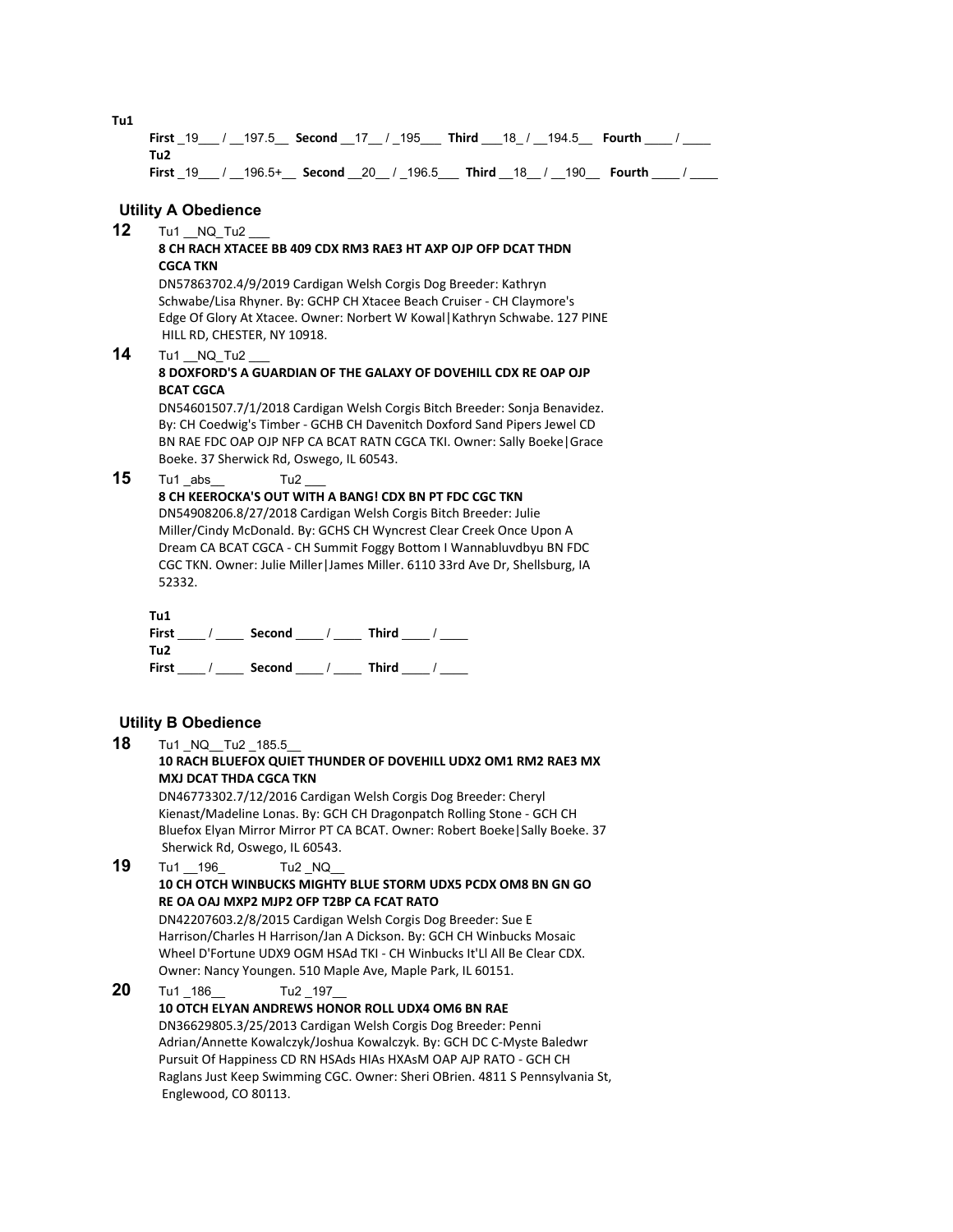**First** \_19\_\_\_ / \_\_197.5\_\_ **Second** \_\_17\_\_ / \_195\_\_\_ **Third** \_\_\_18\_ / \_\_194.5\_\_ **Fourth** \_\_\_\_ / \_\_\_\_ **Tu2 First** \_19\_\_\_ / \_\_196.5+\_\_ **Second** \_\_20\_\_ / \_196.5\_\_\_ **Third** \_\_18\_\_ / \_\_190\_\_ **Fourth** \_\_\_\_ / \_\_\_\_ **Utility A Obedience 12** Tu1 NQ Tu2 **8 CH RACH XTACEE BB 409 CDX RM3 RAE3 HT AXP OJP OFP DCAT THDN CGCA TKN**

DN57863702.4/9/2019 Cardigan Welsh Corgis Dog Breeder: Kathryn Schwabe/Lisa Rhyner. By: GCHP CH Xtacee Beach Cruiser - CH Claymore's Edge Of Glory At Xtacee. Owner: Norbert W Kowal|Kathryn Schwabe. 127 PINE HILL RD, CHESTER, NY 10918.

**14** Tu1 NQ Tu2

#### **8 DOXFORD'S A GUARDIAN OF THE GALAXY OF DOVEHILL CDX RE OAP OJP BCAT CGCA**

DN54601507.7/1/2018 Cardigan Welsh Corgis Bitch Breeder: Sonja Benavidez. By: CH Coedwig's Timber - GCHB CH Davenitch Doxford Sand Pipers Jewel CD BN RAE FDC OAP OJP NFP CA BCAT RATN CGCA TKI. Owner: Sally Boeke|Grace Boeke. 37 Sherwick Rd, Oswego, IL 60543.

**15** Tu1 abs Tu2

#### **8 CH KEEROCKA'S OUT WITH A BANG! CDX BN PT FDC CGC TKN**

DN54908206.8/27/2018 Cardigan Welsh Corgis Bitch Breeder: Julie Miller/Cindy McDonald. By: GCHS CH Wyncrest Clear Creek Once Upon A Dream CA BCAT CGCA - CH Summit Foggy Bottom I Wannabluvdbyu BN FDC CGC TKN. Owner: Julie Miller|James Miller. 6110 33rd Ave Dr, Shellsburg, IA 52332.

| Tu1   |        |              |  |
|-------|--------|--------------|--|
| First | Second | Third        |  |
| Tu2   |        |              |  |
| First | Second | <b>Third</b> |  |

#### **Utility B Obedience**

**18** Tu1 NQ Tu2 185.5

#### **10 RACH BLUEFOX QUIET THUNDER OF DOVEHILL UDX2 OM1 RM2 RAE3 MX MXJ DCAT THDA CGCA TKN**

DN46773302.7/12/2016 Cardigan Welsh Corgis Dog Breeder: Cheryl Kienast/Madeline Lonas. By: GCH CH Dragonpatch Rolling Stone - GCH CH Bluefox Elyan Mirror Mirror PT CA BCAT. Owner: Robert Boeke|Sally Boeke. 37 Sherwick Rd, Oswego, IL 60543.

#### **19** Tu1 196 Tu2 NQ **10 CH OTCH WINBUCKS MIGHTY BLUE STORM UDX5 PCDX OM8 BN GN GO RE OA OAJ MXP2 MJP2 OFP T2BP CA FCAT RATO**

DN42207603.2/8/2015 Cardigan Welsh Corgis Dog Breeder: Sue E Harrison/Charles H Harrison/Jan A Dickson. By: GCH CH Winbucks Mosaic Wheel D'Fortune UDX9 OGM HSAd TKI - CH Winbucks It'Ll All Be Clear CDX. Owner: Nancy Youngen. 510 Maple Ave, Maple Park, IL 60151.

#### **20** Tu1 186 Tu2 197 **10 OTCH ELYAN ANDREWS HONOR ROLL UDX4 OM6 BN RAE** DN36629805.3/25/2013 Cardigan Welsh Corgis Dog Breeder: Penni Adrian/Annette Kowalczyk/Joshua Kowalczyk. By: GCH DC C-Myste Baledwr Pursuit Of Happiness CD RN HSAds HIAs HXAsM OAP AJP RATO - GCH CH Raglans Just Keep Swimming CGC. Owner: Sheri OBrien. 4811 S Pennsylvania St, Englewood, CO 80113.

**Tu1**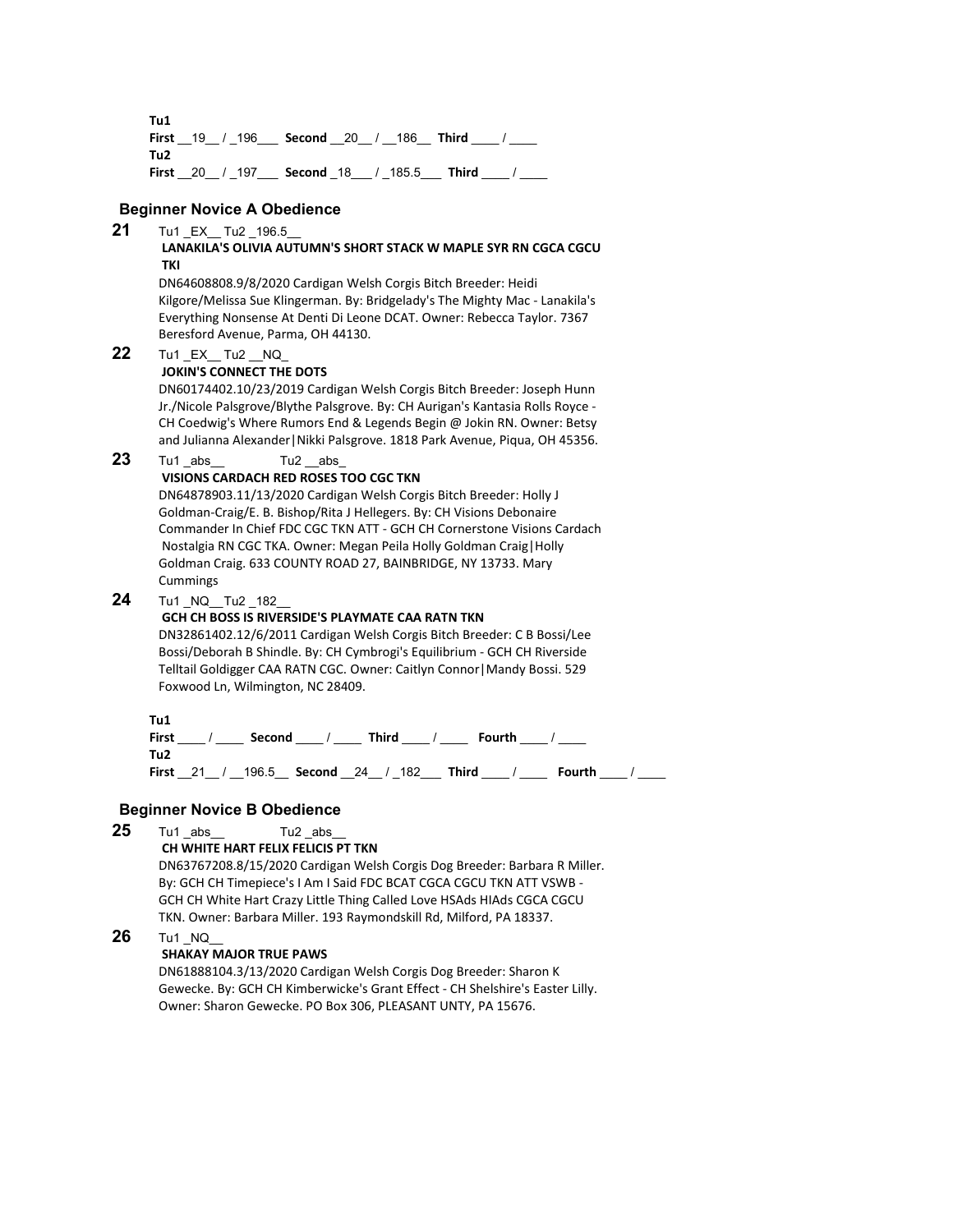**Tu1 First** \_\_19\_\_ / \_196\_\_\_ **Second** \_\_20\_\_ / \_\_186\_\_ **Third** \_\_\_\_ / \_\_\_\_ **Tu2 First** 20 / 197 **Second** 18 / 185.5 **Third** /

#### **Beginner Novice A Obedience**

# **21** Tu1 \_EX\_\_ Tu2 \_196.5\_\_

#### **LANAKILA'S OLIVIA AUTUMN'S SHORT STACK W MAPLE SYR RN CGCA CGCU TKI**

DN64608808.9/8/2020 Cardigan Welsh Corgis Bitch Breeder: Heidi Kilgore/Melissa Sue Klingerman. By: Bridgelady's The Mighty Mac - Lanakila's Everything Nonsense At Denti Di Leone DCAT. Owner: Rebecca Taylor. 7367 Beresford Avenue, Parma, OH 44130.

**22** Tu1 EX Tu2 NQ

#### **JOKIN'S CONNECT THE DOTS**

DN60174402.10/23/2019 Cardigan Welsh Corgis Bitch Breeder: Joseph Hunn Jr./Nicole Palsgrove/Blythe Palsgrove. By: CH Aurigan's Kantasia Rolls Royce - CH Coedwig's Where Rumors End & Legends Begin @ Jokin RN. Owner: Betsy and Julianna Alexander|Nikki Palsgrove. 1818 Park Avenue, Piqua, OH 45356.

#### **23** Tu1 \_abs \_\_ Tu2 \_\_abs

#### **VISIONS CARDACH RED ROSES TOO CGC TKN**

DN64878903.11/13/2020 Cardigan Welsh Corgis Bitch Breeder: Holly J Goldman-Craig/E. B. Bishop/Rita J Hellegers. By: CH Visions Debonaire Commander In Chief FDC CGC TKN ATT - GCH CH Cornerstone Visions Cardach Nostalgia RN CGC TKA. Owner: Megan Peila Holly Goldman Craig|Holly Goldman Craig. 633 COUNTY ROAD 27, BAINBRIDGE, NY 13733. Mary **Cummings** 

# **24** Tu1 \_NQ\_\_Tu2 \_182\_\_

#### **GCH CH BOSS IS RIVERSIDE'S PLAYMATE CAA RATN TKN**

DN32861402.12/6/2011 Cardigan Welsh Corgis Bitch Breeder: C B Bossi/Lee Bossi/Deborah B Shindle. By: CH Cymbrogi's Equilibrium - GCH CH Riverside Telltail Goldigger CAA RATN CGC. Owner: Caitlyn Connor|Mandy Bossi. 529 Foxwood Ln, Wilmington, NC 28409.

**Tu1**

**First** \_\_\_\_ / \_\_\_\_ **Second** \_\_\_\_ / \_\_\_\_ **Third** \_\_\_\_ / \_\_\_\_ **Fourth** \_\_\_\_ / \_\_\_\_ **Tu2 First** 21 / 196.5 **Second** 24 / 182 **Third / Fourth /** *Lease* / 21 / 296.5 **Second** 24 / 182

#### **Beginner Novice B Obedience**

**25** Tu1 abs Tu2 abs

# **CH WHITE HART FELIX FELICIS PT TKN**

DN63767208.8/15/2020 Cardigan Welsh Corgis Dog Breeder: Barbara R Miller. By: GCH CH Timepiece's I Am I Said FDC BCAT CGCA CGCU TKN ATT VSWB - GCH CH White Hart Crazy Little Thing Called Love HSAds HIAds CGCA CGCU TKN. Owner: Barbara Miller. 193 Raymondskill Rd, Milford, PA 18337.

#### **26** Tu1 NQ

#### **SHAKAY MAJOR TRUE PAWS**

DN61888104.3/13/2020 Cardigan Welsh Corgis Dog Breeder: Sharon K Gewecke. By: GCH CH Kimberwicke's Grant Effect - CH Shelshire's Easter Lilly. Owner: Sharon Gewecke. PO Box 306, PLEASANT UNTY, PA 15676.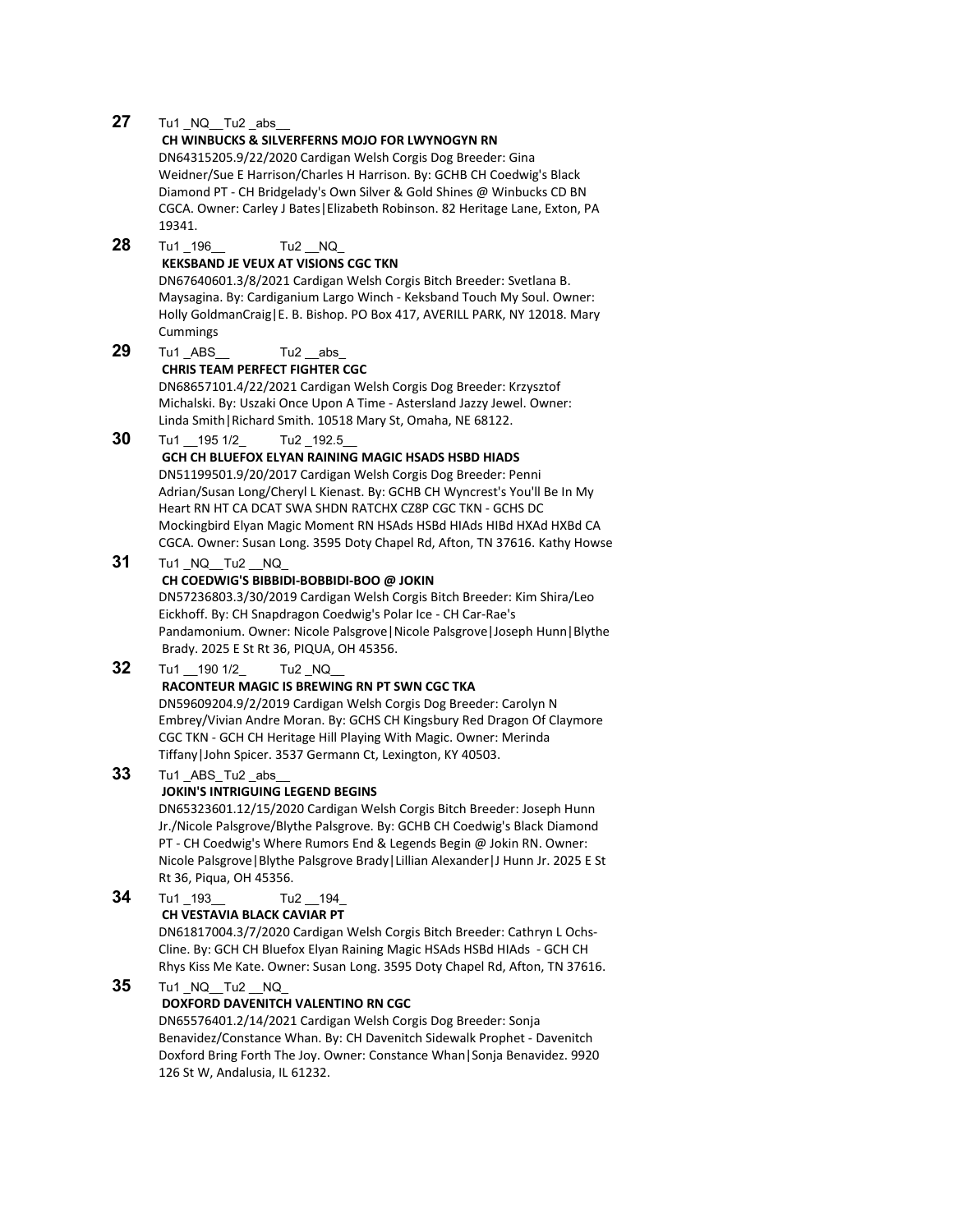#### **27** Tu1 NQ Tu2 abs

#### **CH WINBUCKS & SILVERFERNS MOJO FOR LWYNOGYN RN**

DN64315205.9/22/2020 Cardigan Welsh Corgis Dog Breeder: Gina Weidner/Sue E Harrison/Charles H Harrison. By: GCHB CH Coedwig's Black Diamond PT - CH Bridgelady's Own Silver & Gold Shines @ Winbucks CD BN CGCA. Owner: Carley J Bates|Elizabeth Robinson. 82 Heritage Lane, Exton, PA 19341.

#### **28** Tu1 196 Tu2 NQ **KEKSBAND JE VEUX AT VISIONS CGC TKN** DN67640601.3/8/2021 Cardigan Welsh Corgis Bitch Breeder: Svetlana B. Maysagina. By: Cardiganium Largo Winch - Keksband Touch My Soul. Owner: Holly GoldmanCraig|E. B. Bishop. PO Box 417, AVERILL PARK, NY 12018. Mary Cummings **29** Tu1 ABS Tu2 abs **CHRIS TEAM PERFECT FIGHTER CGC**

DN68657101.4/22/2021 Cardigan Welsh Corgis Dog Breeder: Krzysztof Michalski. By: Uszaki Once Upon A Time - Astersland Jazzy Jewel. Owner: Linda Smith|Richard Smith. 10518 Mary St, Omaha, NE 68122.

**30** Tu1 195 1/2 Tu2 192.5

#### **GCH CH BLUEFOX ELYAN RAINING MAGIC HSADS HSBD HIADS**

DN51199501.9/20/2017 Cardigan Welsh Corgis Dog Breeder: Penni Adrian/Susan Long/Cheryl L Kienast. By: GCHB CH Wyncrest's You'll Be In My Heart RN HT CA DCAT SWA SHDN RATCHX CZ8P CGC TKN - GCHS DC Mockingbird Elyan Magic Moment RN HSAds HSBd HIAds HIBd HXAd HXBd CA CGCA. Owner: Susan Long. 3595 Doty Chapel Rd, Afton, TN 37616. Kathy Howse

#### **31** Tu1 NQ Tu2 NQ

#### **CH COEDWIG'S BIBBIDI-BOBBIDI-BOO @ JOKIN**

DN57236803.3/30/2019 Cardigan Welsh Corgis Bitch Breeder: Kim Shira/Leo Eickhoff. By: CH Snapdragon Coedwig's Polar Ice - CH Car-Rae's Pandamonium. Owner: Nicole Palsgrove|Nicole Palsgrove|Joseph Hunn|Blythe Brady. 2025 E St Rt 36, PIQUA, OH 45356.

# **32** Tu1 190 1/2 Tu2 NQ

#### **RACONTEUR MAGIC IS BREWING RN PT SWN CGC TKA**

DN59609204.9/2/2019 Cardigan Welsh Corgis Dog Breeder: Carolyn N Embrey/Vivian Andre Moran. By: GCHS CH Kingsbury Red Dragon Of Claymore CGC TKN - GCH CH Heritage Hill Playing With Magic. Owner: Merinda Tiffany|John Spicer. 3537 Germann Ct, Lexington, KY 40503.

#### **33** Tu1 ABS Tu2 abs

#### **JOKIN'S INTRIGUING LEGEND BEGINS**

DN65323601.12/15/2020 Cardigan Welsh Corgis Bitch Breeder: Joseph Hunn Jr./Nicole Palsgrove/Blythe Palsgrove. By: GCHB CH Coedwig's Black Diamond PT - CH Coedwig's Where Rumors End & Legends Begin @ Jokin RN. Owner: Nicole Palsgrove|Blythe Palsgrove Brady|Lillian Alexander|J Hunn Jr. 2025 E St Rt 36, Piqua, OH 45356.

# **34** Tu1 193 Tu2 194

#### **CH VESTAVIA BLACK CAVIAR PT**

DN61817004.3/7/2020 Cardigan Welsh Corgis Bitch Breeder: Cathryn L Ochs-Cline. By: GCH CH Bluefox Elyan Raining Magic HSAds HSBd HIAds - GCH CH Rhys Kiss Me Kate. Owner: Susan Long. 3595 Doty Chapel Rd, Afton, TN 37616.

#### **35** Tu1 NQ Tu2 NQ

#### **DOXFORD DAVENITCH VALENTINO RN CGC**

DN65576401.2/14/2021 Cardigan Welsh Corgis Dog Breeder: Sonja Benavidez/Constance Whan. By: CH Davenitch Sidewalk Prophet - Davenitch Doxford Bring Forth The Joy. Owner: Constance Whan|Sonja Benavidez. 9920 126 St W, Andalusia, IL 61232.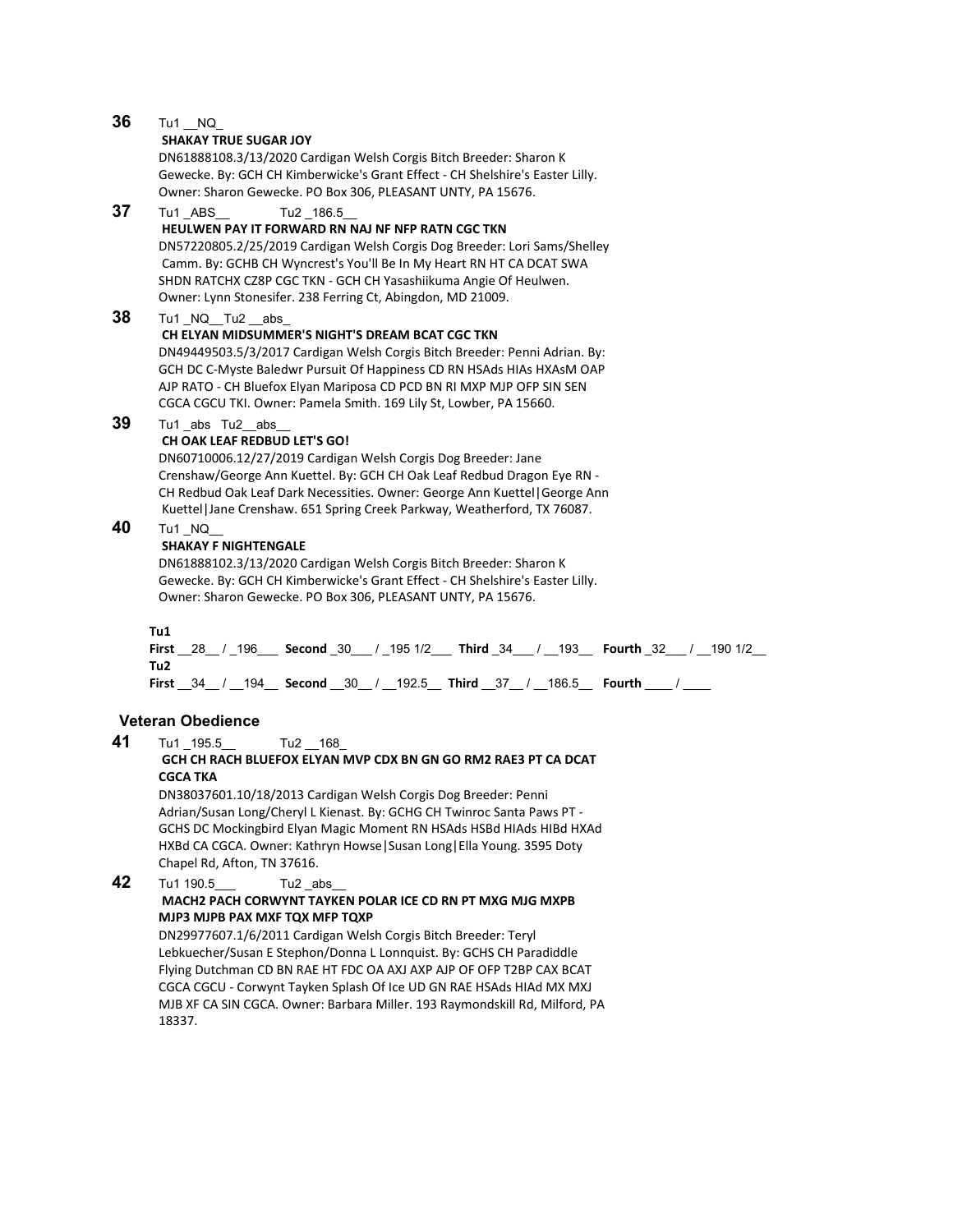# **36** Tu1 NQ

#### **SHAKAY TRUE SUGAR JOY**

DN61888108.3/13/2020 Cardigan Welsh Corgis Bitch Breeder: Sharon K Gewecke. By: GCH CH Kimberwicke's Grant Effect - CH Shelshire's Easter Lilly. Owner: Sharon Gewecke. PO Box 306, PLEASANT UNTY, PA 15676.

#### **37** Tu1 ABS Tu2 186.5

#### **HEULWEN PAY IT FORWARD RN NAJ NF NFP RATN CGC TKN**

DN57220805.2/25/2019 Cardigan Welsh Corgis Dog Breeder: Lori Sams/Shelley Camm. By: GCHB CH Wyncrest's You'll Be In My Heart RN HT CA DCAT SWA SHDN RATCHX CZ8P CGC TKN - GCH CH Yasashiikuma Angie Of Heulwen. Owner: Lynn Stonesifer. 238 Ferring Ct, Abingdon, MD 21009.

### **38** Tu1 \_NQ\_\_Tu2 \_\_abs\_

#### **CH ELYAN MIDSUMMER'S NIGHT'S DREAM BCAT CGC TKN**

DN49449503.5/3/2017 Cardigan Welsh Corgis Bitch Breeder: Penni Adrian. By: GCH DC C-Myste Baledwr Pursuit Of Happiness CD RN HSAds HIAs HXAsM OAP AJP RATO - CH Bluefox Elyan Mariposa CD PCD BN RI MXP MJP OFP SIN SEN CGCA CGCU TKI. Owner: Pamela Smith. 169 Lily St, Lowber, PA 15660.

#### **39** Tu1 abs Tu2 abs

#### **CH OAK LEAF REDBUD LET'S GO!**

DN60710006.12/27/2019 Cardigan Welsh Corgis Dog Breeder: Jane Crenshaw/George Ann Kuettel. By: GCH CH Oak Leaf Redbud Dragon Eye RN - CH Redbud Oak Leaf Dark Necessities. Owner: George Ann Kuettel|George Ann Kuettel|Jane Crenshaw. 651 Spring Creek Parkway, Weatherford, TX 76087.

# **40** Tu1 NQ

#### **SHAKAY F NIGHTENGALE**

DN61888102.3/13/2020 Cardigan Welsh Corgis Bitch Breeder: Sharon K Gewecke. By: GCH CH Kimberwicke's Grant Effect - CH Shelshire's Easter Lilly. Owner: Sharon Gewecke. PO Box 306, PLEASANT UNTY, PA 15676.

#### **Tu1**

**First** \_\_28\_\_ / \_196\_\_\_ **Second** \_30\_\_\_ / \_195 1/2\_\_\_ **Third** \_34\_\_\_ / \_\_193\_\_ **Fourth** \_32\_\_\_ / \_\_190 1/2\_\_ **Tu2 First** \_\_34\_\_ / \_\_194\_\_ **Second** \_\_30\_\_ / \_\_192.5\_\_ **Third** \_\_37\_\_ / \_\_186.5\_\_ **Fourth** \_\_\_\_ / \_\_\_\_

#### **Veteran Obedience**

**41** Tu1 195.5 Tu2 168 **GCH CH RACH BLUEFOX ELYAN MVP CDX BN GN GO RM2 RAE3 PT CA DCAT** 

#### **CGCA TKA**

DN38037601.10/18/2013 Cardigan Welsh Corgis Dog Breeder: Penni Adrian/Susan Long/Cheryl L Kienast. By: GCHG CH Twinroc Santa Paws PT - GCHS DC Mockingbird Elyan Magic Moment RN HSAds HSBd HIAds HIBd HXAd HXBd CA CGCA. Owner: Kathryn Howse|Susan Long|Ella Young. 3595 Doty Chapel Rd, Afton, TN 37616.

#### **42** Tu1 190.5 Tu2 abs **MACH2 PACH CORWYNT TAYKEN POLAR ICE CD RN PT MXG MJG MXPB MJP3 MJPB PAX MXF TQX MFP TQXP**

DN29977607.1/6/2011 Cardigan Welsh Corgis Bitch Breeder: Teryl Lebkuecher/Susan E Stephon/Donna L Lonnquist. By: GCHS CH Paradiddle Flying Dutchman CD BN RAE HT FDC OA AXJ AXP AJP OF OFP T2BP CAX BCAT CGCA CGCU - Corwynt Tayken Splash Of Ice UD GN RAE HSAds HIAd MX MXJ MJB XF CA SIN CGCA. Owner: Barbara Miller. 193 Raymondskill Rd, Milford, PA 18337.